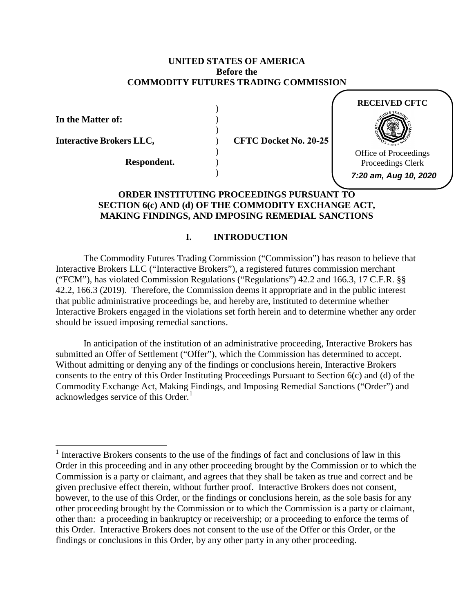## **UNITED STATES OF AMERICA Before the COMMODITY FUTURES TRADING COMMISSION**

) ) ) ) ) ) )

**In the Matter of:** 

**Interactive Brokers LLC,** 

**Respondent.** 

**CFTC Docket No. 20-25** 



## **ORDER INSTITUTING PROCEEDINGS PURSUANT TO SECTION 6(c) AND (d) OF THE COMMODITY EXCHANGE ACT, MAKING FINDINGS, AND IMPOSING REMEDIAL SANCTIONS**

# **I. INTRODUCTION**

 The Commodity Futures Trading Commission ("Commission") has reason to believe that Interactive Brokers engaged in the violations set forth herein and to determine whether any order Interactive Brokers LLC ("Interactive Brokers"), a registered futures commission merchant ("FCM"), has violated Commission Regulations ("Regulations") 42.2 and 166.3, 17 C.F.R. §§ 42.2, 166.3 (2019). Therefore, the Commission deems it appropriate and in the public interest that public administrative proceedings be, and hereby are, instituted to determine whether should be issued imposing remedial sanctions.

 submitted an Offer of Settlement ("Offer"), which the Commission has determined to accept. Without admitting or denying any of the findings or conclusions herein, Interactive Brokers acknowledges service of this Order.<sup>1</sup> In anticipation of the institution of an administrative proceeding, Interactive Brokers has consents to the entry of this Order Instituting Proceedings Pursuant to Section 6(c) and (d) of the Commodity Exchange Act, Making Findings, and Imposing Remedial Sanctions ("Order") and

 however, to the use of this Order, or the findings or conclusions herein, as the sole basis for any other than: a proceeding in bankruptcy or receivership; or a proceeding to enforce the terms of  $<sup>1</sup>$  Interactive Brokers consents to the use of the findings of fact and conclusions of law in this</sup> Order in this proceeding and in any other proceeding brought by the Commission or to which the Commission is a party or claimant, and agrees that they shall be taken as true and correct and be given preclusive effect therein, without further proof. Interactive Brokers does not consent, other proceeding brought by the Commission or to which the Commission is a party or claimant, this Order. Interactive Brokers does not consent to the use of the Offer or this Order, or the findings or conclusions in this Order, by any other party in any other proceeding.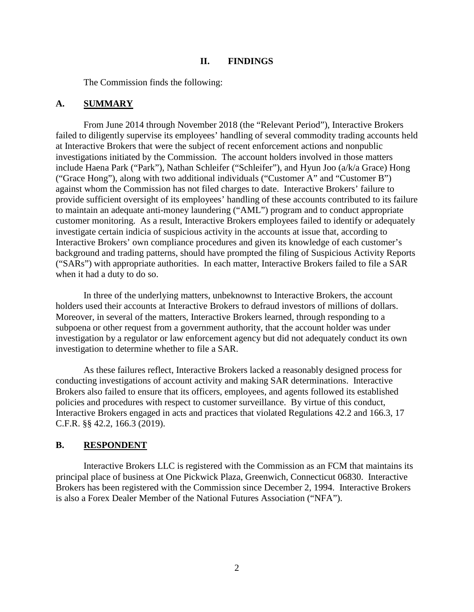#### **II. FINDINGS**

The Commission finds the following:

#### **A. SUMMARY**

 failed to diligently supervise its employees' handling of several commodity trading accounts held customer monitoring. As a result, Interactive Brokers employees failed to identify or adequately From June 2014 through November 2018 (the "Relevant Period"), Interactive Brokers at Interactive Brokers that were the subject of recent enforcement actions and nonpublic investigations initiated by the Commission. The account holders involved in those matters include Haena Park ("Park"), Nathan Schleifer ("Schleifer"), and Hyun Joo (a/k/a Grace) Hong ("Grace Hong"), along with two additional individuals ("Customer A" and "Customer B") against whom the Commission has not filed charges to date. Interactive Brokers' failure to provide sufficient oversight of its employees' handling of these accounts contributed to its failure to maintain an adequate anti-money laundering ("AML") program and to conduct appropriate investigate certain indicia of suspicious activity in the accounts at issue that, according to Interactive Brokers' own compliance procedures and given its knowledge of each customer's background and trading patterns, should have prompted the filing of Suspicious Activity Reports ("SARs") with appropriate authorities. In each matter, Interactive Brokers failed to file a SAR when it had a duty to do so.

investigation to determine whether to file a SAR. In three of the underlying matters, unbeknownst to Interactive Brokers, the account holders used their accounts at Interactive Brokers to defraud investors of millions of dollars. Moreover, in several of the matters, Interactive Brokers learned, through responding to a subpoena or other request from a government authority, that the account holder was under investigation by a regulator or law enforcement agency but did not adequately conduct its own

 conducting investigations of account activity and making SAR determinations. Interactive policies and procedures with respect to customer surveillance. By virtue of this conduct, As these failures reflect, Interactive Brokers lacked a reasonably designed process for Brokers also failed to ensure that its officers, employees, and agents followed its established Interactive Brokers engaged in acts and practices that violated Regulations 42.2 and 166.3, 17 C.F.R. §§ 42.2, 166.3 (2019).

#### **B. RESPONDENT**

 Interactive Brokers LLC is registered with the Commission as an FCM that maintains its Brokers has been registered with the Commission since December 2, 1994. Interactive Brokers principal place of business at One Pickwick Plaza, Greenwich, Connecticut 06830. Interactive is also a Forex Dealer Member of the National Futures Association ("NFA").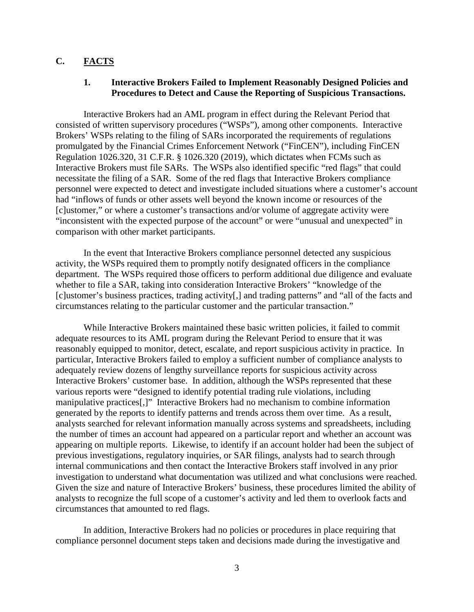# **C. FACTS**

## **1. Interactive Brokers Failed to Implement Reasonably Designed Policies and Procedures to Detect and Cause the Reporting of Suspicious Transactions.**

 promulgated by the Financial Crimes Enforcement Network ("FinCEN"), including FinCEN necessitate the filing of a SAR. Some of the red flags that Interactive Brokers compliance personnel were expected to detect and investigate included situations where a customer's account Interactive Brokers had an AML program in effect during the Relevant Period that consisted of written supervisory procedures ("WSPs"), among other components. Interactive Brokers' WSPs relating to the filing of SARs incorporated the requirements of regulations Regulation 1026.320, 31 C.F.R. § 1026.320 (2019), which dictates when FCMs such as Interactive Brokers must file SARs. The WSPs also identified specific "red flags" that could had "inflows of funds or other assets well beyond the known income or resources of the [c]ustomer," or where a customer's transactions and/or volume of aggregate activity were "inconsistent with the expected purpose of the account" or were "unusual and unexpected" in comparison with other market participants.

 department. The WSPs required those officers to perform additional due diligence and evaluate circumstances relating to the particular customer and the particular transaction." In the event that Interactive Brokers compliance personnel detected any suspicious activity, the WSPs required them to promptly notify designated officers in the compliance whether to file a SAR, taking into consideration Interactive Brokers' "knowledge of the [c]ustomer's business practices, trading activity[,] and trading patterns" and "all of the facts and

 manipulative practices[,]" Interactive Brokers had no mechanism to combine information generated by the reports to identify patterns and trends across them over time. As a result, analysts searched for relevant information manually across systems and spreadsheets, including the number of times an account had appeared on a particular report and whether an account was appearing on multiple reports. Likewise, to identify if an account holder had been the subject of Given the size and nature of Interactive Brokers' business, these procedures limited the ability of analysts to recognize the full scope of a customer's activity and led them to overlook facts and circumstances that amounted to red flags. While Interactive Brokers maintained these basic written policies, it failed to commit adequate resources to its AML program during the Relevant Period to ensure that it was reasonably equipped to monitor, detect, escalate, and report suspicious activity in practice. In particular, Interactive Brokers failed to employ a sufficient number of compliance analysts to adequately review dozens of lengthy surveillance reports for suspicious activity across Interactive Brokers' customer base. In addition, although the WSPs represented that these various reports were "designed to identify potential trading rule violations, including previous investigations, regulatory inquiries, or SAR filings, analysts had to search through internal communications and then contact the Interactive Brokers staff involved in any prior investigation to understand what documentation was utilized and what conclusions were reached.

 circumstances that amounted to red flags. In addition, Interactive Brokers had no policies or procedures in place requiring that compliance personnel document steps taken and decisions made during the investigative and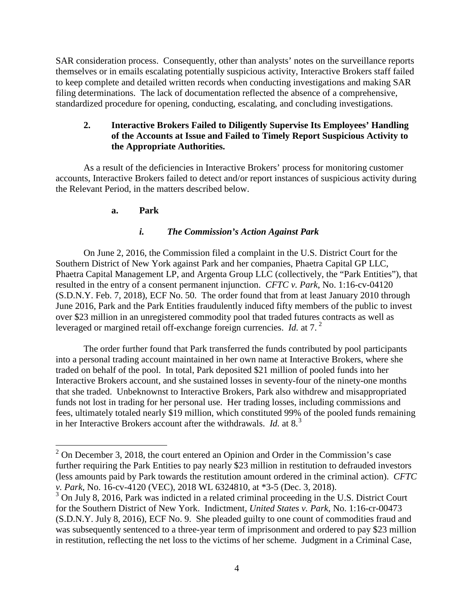filing determinations. The lack of documentation reflected the absence of a comprehensive, SAR consideration process. Consequently, other than analysts' notes on the surveillance reports themselves or in emails escalating potentially suspicious activity, Interactive Brokers staff failed to keep complete and detailed written records when conducting investigations and making SAR standardized procedure for opening, conducting, escalating, and concluding investigations.

# **2. Interactive Brokers Failed to Diligently Supervise Its Employees' Handling of the Accounts at Issue and Failed to Timely Report Suspicious Activity to the Appropriate Authorities.**

As a result of the deficiencies in Interactive Brokers' process for monitoring customer accounts, Interactive Brokers failed to detect and/or report instances of suspicious activity during the Relevant Period, in the matters described below.

# **a. Park**

-

# *i. The Commission's Action Against Park*

 Southern District of New York against Park and her companies, Phaetra Capital GP LLC, resulted in the entry of a consent permanent injunction. *CFTC v. Park*, No. 1:16-cv-04120 On June 2, 2016, the Commission filed a complaint in the U.S. District Court for the Phaetra Capital Management LP, and Argenta Group LLC (collectively, the "Park Entities"), that (S.D.N.Y. Feb. 7, 2018), ECF No. 50. The order found that from at least January 2010 through June 2016, Park and the Park Entities fraudulently induced fifty members of the public to invest over \$23 million in an unregistered commodity pool that traded futures contracts as well as leveraged or margined retail off-exchange foreign currencies. *Id.* at 7. 2

 in her Interactive Brokers account after the withdrawals. *Id.* at 8.<sup>3</sup> The order further found that Park transferred the funds contributed by pool participants into a personal trading account maintained in her own name at Interactive Brokers, where she traded on behalf of the pool. In total, Park deposited \$21 million of pooled funds into her Interactive Brokers account, and she sustained losses in seventy-four of the ninety-one months that she traded. Unbeknownst to Interactive Brokers, Park also withdrew and misappropriated funds not lost in trading for her personal use. Her trading losses, including commissions and fees, ultimately totaled nearly \$19 million, which constituted 99% of the pooled funds remaining

 (less amounts paid by Park towards the restitution amount ordered in the criminal action). *CFTC*   $2^2$  On December 3, 2018, the court entered an Opinion and Order in the Commission's case further requiring the Park Entities to pay nearly \$23 million in restitution to defrauded investors *v. Park*, No. 16-cv-4120 (VEC), 2018 WL 6324810, at \*3-5 (Dec. 3, 2018).

 $3$  On July 8, 2016, Park was indicted in a related criminal proceeding in the U.S. District Court for the Southern District of New York. Indictment, *United States v. Park*, No. 1:16-cr-00473 (S.D.N.Y. July 8, 2016), ECF No. 9. She pleaded guilty to one count of commodities fraud and was subsequently sentenced to a three-year term of imprisonment and ordered to pay \$23 million in restitution, reflecting the net loss to the victims of her scheme. Judgment in a Criminal Case,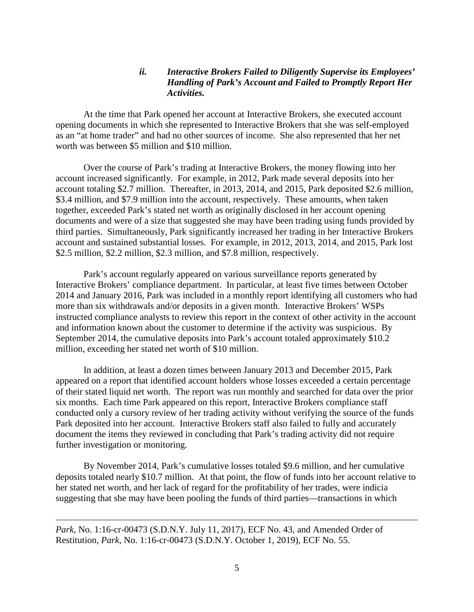## *ii. Interactive Brokers Failed to Diligently Supervise its Employees' Handling of Park's Account and Failed to Promptly Report Her Activities.*

At the time that Park opened her account at Interactive Brokers, she executed account opening documents in which she represented to Interactive Brokers that she was self-employed as an "at home trader" and had no other sources of income. She also represented that her net worth was between \$5 million and \$10 million.

 Over the course of Park's trading at Interactive Brokers, the money flowing into her account increased significantly. For example, in 2012, Park made several deposits into her account and sustained substantial losses. For example, in 2012, 2013, 2014, and 2015, Park lost account totaling \$2.7 million. Thereafter, in 2013, 2014, and 2015, Park deposited \$2.6 million, \$3.4 million, and \$7.9 million into the account, respectively. These amounts, when taken together, exceeded Park's stated net worth as originally disclosed in her account opening documents and were of a size that suggested she may have been trading using funds provided by third parties. Simultaneously, Park significantly increased her trading in her Interactive Brokers \$2.5 million, \$2.2 million, \$2.3 million, and \$7.8 million, respectively.

 Interactive Brokers' compliance department. In particular, at least five times between October  more than six withdrawals and/or deposits in a given month. Interactive Brokers' WSPs and information known about the customer to determine if the activity was suspicious. By Park's account regularly appeared on various surveillance reports generated by 2014 and January 2016, Park was included in a monthly report identifying all customers who had instructed compliance analysts to review this report in the context of other activity in the account September 2014, the cumulative deposits into Park's account totaled approximately \$10.2 million, exceeding her stated net worth of \$10 million.

 conducted only a cursory review of her trading activity without verifying the source of the funds Park deposited into her account. Interactive Brokers staff also failed to fully and accurately In addition, at least a dozen times between January 2013 and December 2015, Park appeared on a report that identified account holders whose losses exceeded a certain percentage of their stated liquid net worth. The report was run monthly and searched for data over the prior six months. Each time Park appeared on this report, Interactive Brokers compliance staff document the items they reviewed in concluding that Park's trading activity did not require further investigation or monitoring.

By November 2014, Park's cumulative losses totaled \$9.6 million, and her cumulative deposits totaled nearly \$10.7 million. At that point, the flow of funds into her account relative to her stated net worth, and her lack of regard for the profitability of her trades, were indicia suggesting that she may have been pooling the funds of third parties—transactions in which

 $\overline{a}$ 

*Park*, No. 1:16-cr-00473 (S.D.N.Y. July 11, 2017), ECF No. 43, and Amended Order of Restitution*, Park*, No. 1:16-cr-00473 (S.D.N.Y. October 1, 2019), ECF No. 55.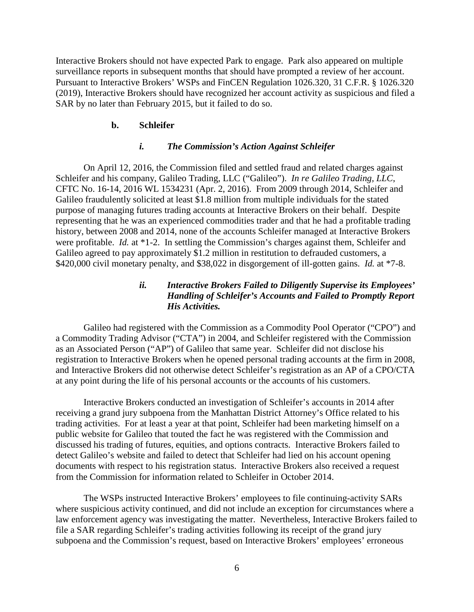Interactive Brokers should not have expected Park to engage. Park also appeared on multiple surveillance reports in subsequent months that should have prompted a review of her account. Pursuant to Interactive Brokers' WSPs and FinCEN Regulation 1026.320, 31 C.F.R. § 1026.320 (2019), Interactive Brokers should have recognized her account activity as suspicious and filed a SAR by no later than February 2015, but it failed to do so.

#### **b. Schleifer**

#### *i. The Commission's Action Against Schleifer*

 On April 12, 2016, the Commission filed and settled fraud and related charges against Schleifer and his company, Galileo Trading, LLC ("Galileo"). *In re Galileo Trading, LLC*, \$420,000 civil monetary penalty, and \$38,022 in disgorgement of ill-gotten gains. *Id.* at \*7-8. CFTC No. 16-14, 2016 WL 1534231 (Apr. 2, 2016). From 2009 through 2014, Schleifer and Galileo fraudulently solicited at least \$1.8 million from multiple individuals for the stated purpose of managing futures trading accounts at Interactive Brokers on their behalf. Despite representing that he was an experienced commodities trader and that he had a profitable trading history, between 2008 and 2014, none of the accounts Schleifer managed at Interactive Brokers were profitable. *Id.* at \*1-2. In settling the Commission's charges against them, Schleifer and Galileo agreed to pay approximately \$1.2 million in restitution to defrauded customers, a

# *His Activities. ii. Interactive Brokers Failed to Diligently Supervise its Employees' Handling of Schleifer's Accounts and Failed to Promptly Report*

 Galileo had registered with the Commission as a Commodity Pool Operator ("CPO") and and Interactive Brokers did not otherwise detect Schleifer's registration as an AP of a CPO/CTA a Commodity Trading Advisor ("CTA") in 2004, and Schleifer registered with the Commission as an Associated Person ("AP") of Galileo that same year. Schleifer did not disclose his registration to Interactive Brokers when he opened personal trading accounts at the firm in 2008, at any point during the life of his personal accounts or the accounts of his customers.

 Interactive Brokers conducted an investigation of Schleifer's accounts in 2014 after trading activities. For at least a year at that point, Schleifer had been marketing himself on a documents with respect to his registration status. Interactive Brokers also received a request receiving a grand jury subpoena from the Manhattan District Attorney's Office related to his public website for Galileo that touted the fact he was registered with the Commission and discussed his trading of futures, equities, and options contracts. Interactive Brokers failed to detect Galileo's website and failed to detect that Schleifer had lied on his account opening from the Commission for information related to Schleifer in October 2014.

 law enforcement agency was investigating the matter. Nevertheless, Interactive Brokers failed to The WSPs instructed Interactive Brokers' employees to file continuing-activity SARs where suspicious activity continued, and did not include an exception for circumstances where a file a SAR regarding Schleifer's trading activities following its receipt of the grand jury subpoena and the Commission's request, based on Interactive Brokers' employees' erroneous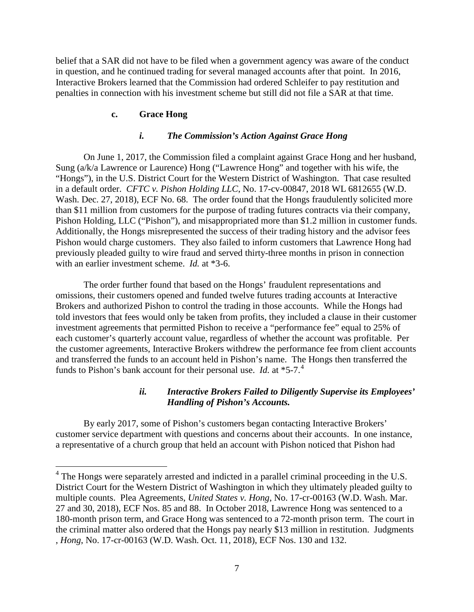belief that a SAR did not have to be filed when a government agency was aware of the conduct in question, and he continued trading for several managed accounts after that point. In 2016, Interactive Brokers learned that the Commission had ordered Schleifer to pay restitution and penalties in connection with his investment scheme but still did not file a SAR at that time.

## **c. Grace Hong**

 $\overline{a}$ 

#### *i. The Commission's Action Against Grace Hong*

 Sung (a/k/a Lawrence or Laurence) Hong ("Lawrence Hong" and together with his wife, the "Hongs"), in the U.S. District Court for the Western District of Washington. That case resulted with an earlier investment scheme. *Id.* at \*3-6. On June 1, 2017, the Commission filed a complaint against Grace Hong and her husband, in a default order. *CFTC v. Pishon Holding LLC*, No. 17-cv-00847, 2018 WL 6812655 (W.D. Wash. Dec. 27, 2018), ECF No. 68. The order found that the Hongs fraudulently solicited more than \$11 million from customers for the purpose of trading futures contracts via their company, Pishon Holding, LLC ("Pishon"), and misappropriated more than \$1.2 million in customer funds. Additionally, the Hongs misrepresented the success of their trading history and the advisor fees Pishon would charge customers. They also failed to inform customers that Lawrence Hong had previously pleaded guilty to wire fraud and served thirty-three months in prison in connection

 each customer's quarterly account value, regardless of whether the account was profitable. Per funds to Pishon's bank account for their personal use. *Id.* at \*5-7.<sup>4</sup> The order further found that based on the Hongs' fraudulent representations and omissions, their customers opened and funded twelve futures trading accounts at Interactive Brokers and authorized Pishon to control the trading in those accounts. While the Hongs had told investors that fees would only be taken from profits, they included a clause in their customer investment agreements that permitted Pishon to receive a "performance fee" equal to 25% of the customer agreements, Interactive Brokers withdrew the performance fee from client accounts and transferred the funds to an account held in Pishon's name. The Hongs then transferred the

# *ii. Interactive Brokers Failed to Diligently Supervise its Employees' Handling of Pishon's Accounts.*

 By early 2017, some of Pishon's customers began contacting Interactive Brokers' customer service department with questions and concerns about their accounts. In one instance, a representative of a church group that held an account with Pishon noticed that Pishon had

 District Court for the Western District of Washington in which they ultimately pleaded guilty to <sup>4</sup> The Hongs were separately arrested and indicted in a parallel criminal proceeding in the U.S. multiple counts. Plea Agreements, *United States v. Hong*, No. 17-cr-00163 (W.D. Wash. Mar. 27 and 30, 2018), ECF Nos. 85 and 88. In October 2018, Lawrence Hong was sentenced to a 180-month prison term, and Grace Hong was sentenced to a 72-month prison term. The court in the criminal matter also ordered that the Hongs pay nearly \$13 million in restitution. Judgments , *Hong*, No. 17-cr-00163 (W.D. Wash. Oct. 11, 2018), ECF Nos. 130 and 132.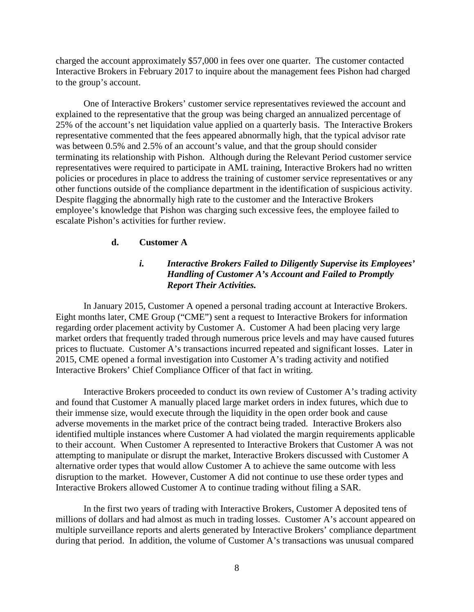charged the account approximately \$57,000 in fees over one quarter. The customer contacted Interactive Brokers in February 2017 to inquire about the management fees Pishon had charged to the group's account.

 explained to the representative that the group was being charged an annualized percentage of policies or procedures in place to address the training of customer service representatives or any escalate Pishon's activities for further review. One of Interactive Brokers' customer service representatives reviewed the account and 25% of the account's net liquidation value applied on a quarterly basis. The Interactive Brokers representative commented that the fees appeared abnormally high, that the typical advisor rate was between 0.5% and 2.5% of an account's value, and that the group should consider terminating its relationship with Pishon. Although during the Relevant Period customer service representatives were required to participate in AML training, Interactive Brokers had no written other functions outside of the compliance department in the identification of suspicious activity. Despite flagging the abnormally high rate to the customer and the Interactive Brokers employee's knowledge that Pishon was charging such excessive fees, the employee failed to

# **d. Customer A**

# *i. Interactive Brokers Failed to Diligently Supervise its Employees' Handling of Customer A's Account and Failed to Promptly Report Their Activities.*

 In January 2015, Customer A opened a personal trading account at Interactive Brokers. regarding order placement activity by Customer A. Customer A had been placing very large prices to fluctuate. Customer A's transactions incurred repeated and significant losses. Later in Interactive Brokers' Chief Compliance Officer of that fact in writing. Eight months later, CME Group ("CME") sent a request to Interactive Brokers for information market orders that frequently traded through numerous price levels and may have caused futures 2015, CME opened a formal investigation into Customer A's trading activity and notified

 adverse movements in the market price of the contract being traded. Interactive Brokers also Interactive Brokers proceeded to conduct its own review of Customer A's trading activity and found that Customer A manually placed large market orders in index futures, which due to their immense size, would execute through the liquidity in the open order book and cause identified multiple instances where Customer A had violated the margin requirements applicable to their account. When Customer A represented to Interactive Brokers that Customer A was not attempting to manipulate or disrupt the market, Interactive Brokers discussed with Customer A alternative order types that would allow Customer A to achieve the same outcome with less disruption to the market. However, Customer A did not continue to use these order types and Interactive Brokers allowed Customer A to continue trading without filing a SAR.

 multiple surveillance reports and alerts generated by Interactive Brokers' compliance department In the first two years of trading with Interactive Brokers, Customer A deposited tens of millions of dollars and had almost as much in trading losses. Customer A's account appeared on during that period. In addition, the volume of Customer A's transactions was unusual compared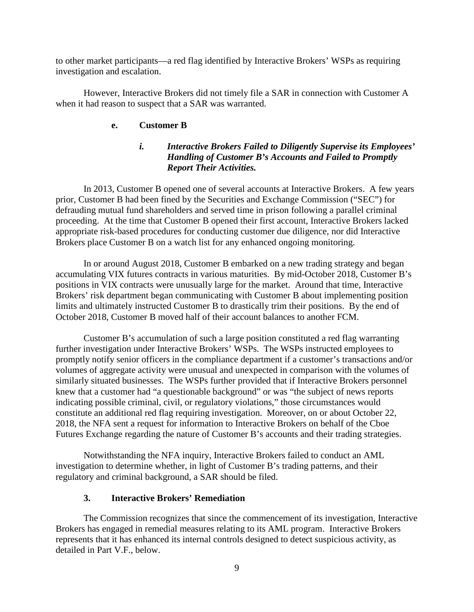to other market participants—a red flag identified by Interactive Brokers' WSPs as requiring investigation and escalation.

However, Interactive Brokers did not timely file a SAR in connection with Customer A when it had reason to suspect that a SAR was warranted.

# **e. Customer B**

# *i. Interactive Brokers Failed to Diligently Supervise its Employees' Handling of Customer B's Accounts and Failed to Promptly Report Their Activities.*

 In 2013, Customer B opened one of several accounts at Interactive Brokers. A few years prior, Customer B had been fined by the Securities and Exchange Commission ("SEC") for defrauding mutual fund shareholders and served time in prison following a parallel criminal proceeding. At the time that Customer B opened their first account, Interactive Brokers lacked appropriate risk-based procedures for conducting customer due diligence, nor did Interactive Brokers place Customer B on a watch list for any enhanced ongoing monitoring.

 limits and ultimately instructed Customer B to drastically trim their positions. By the end of In or around August 2018, Customer B embarked on a new trading strategy and began accumulating VIX futures contracts in various maturities. By mid-October 2018, Customer B's positions in VIX contracts were unusually large for the market. Around that time, Interactive Brokers' risk department began communicating with Customer B about implementing position October 2018, Customer B moved half of their account balances to another FCM.

 similarly situated businesses. The WSPs further provided that if Interactive Brokers personnel knew that a customer had "a questionable background" or was "the subject of news reports Customer B's accumulation of such a large position constituted a red flag warranting further investigation under Interactive Brokers' WSPs. The WSPs instructed employees to promptly notify senior officers in the compliance department if a customer's transactions and/or volumes of aggregate activity were unusual and unexpected in comparison with the volumes of indicating possible criminal, civil, or regulatory violations," those circumstances would constitute an additional red flag requiring investigation. Moreover, on or about October 22, 2018, the NFA sent a request for information to Interactive Brokers on behalf of the Cboe Futures Exchange regarding the nature of Customer B's accounts and their trading strategies.

 investigation to determine whether, in light of Customer B's trading patterns, and their Notwithstanding the NFA inquiry, Interactive Brokers failed to conduct an AML regulatory and criminal background, a SAR should be filed.

## **3. Interactive Brokers' Remediation**

 Brokers has engaged in remedial measures relating to its AML program. Interactive Brokers The Commission recognizes that since the commencement of its investigation, Interactive represents that it has enhanced its internal controls designed to detect suspicious activity, as detailed in Part V.F., below.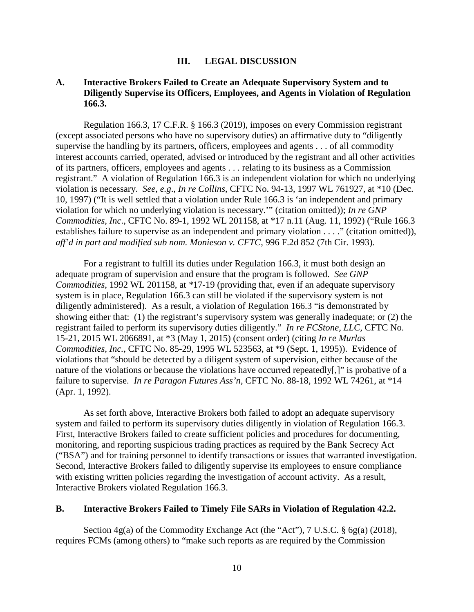#### **III. LEGAL DISCUSSION**

## **A. Interactive Brokers Failed to Create an Adequate Supervisory System and to Diligently Supervise its Officers, Employees, and Agents in Violation of Regulation 166.3.**

 (except associated persons who have no supervisory duties) an affirmative duty to "diligently Regulation 166.3, 17 C.F.R. § 166.3 (2019), imposes on every Commission registrant supervise the handling by its partners, officers, employees and agents . . . of all commodity interest accounts carried, operated, advised or introduced by the registrant and all other activities of its partners, officers, employees and agents . . . relating to its business as a Commission registrant." A violation of Regulation 166.3 is an independent violation for which no underlying violation is necessary. *See, e.g*., *In re Collins*, CFTC No. 94-13, 1997 WL 761927, at \*10 (Dec. 10, 1997) ("It is well settled that a violation under Rule 166.3 is 'an independent and primary violation for which no underlying violation is necessary.'" (citation omitted)); *In re GNP Commodities, Inc*., CFTC No. 89-1, 1992 WL 201158, at \*17 n.11 (Aug. 11, 1992) ("Rule 166.3 establishes failure to supervise as an independent and primary violation . . . ." (citation omitted)), *aff'd in part and modified sub nom. Monieson v. CFTC*, 996 F.2d 852 (7th Cir. 1993).

 *Commodities*, 1992 WL 201158, at *\**17-19 (providing that, even if an adequate supervisory showing either that: (1) the registrant's supervisory system was generally inadequate; or (2) the 15-21, 2015 WL 2066891, at \*3 (May 1, 2015) (consent order) (citing *In re Murlas*  For a registrant to fulfill its duties under Regulation 166.3, it must both design an adequate program of supervision and ensure that the program is followed. *See GNP*  system is in place, Regulation 166.3 can still be violated if the supervisory system is not diligently administered). As a result, a violation of Regulation 166.3 "is demonstrated by registrant failed to perform its supervisory duties diligently." *In re FCStone, LLC,* CFTC No. *Commodities, Inc.*, CFTC No. 85-29, 1995 WL 523563, at \*9 (Sept. 1, 1995)). Evidence of violations that "should be detected by a diligent system of supervision, either because of the nature of the violations or because the violations have occurred repeatedly[,]" is probative of a failure to supervise. *In re Paragon Futures Ass'n*, CFTC No. 88-18, 1992 WL 74261, at \*14 (Apr. 1, 1992).

As set forth above, Interactive Brokers both failed to adopt an adequate supervisory system and failed to perform its supervisory duties diligently in violation of Regulation 166.3. First, Interactive Brokers failed to create sufficient policies and procedures for documenting, monitoring, and reporting suspicious trading practices as required by the Bank Secrecy Act ("BSA") and for training personnel to identify transactions or issues that warranted investigation. Second, Interactive Brokers failed to diligently supervise its employees to ensure compliance with existing written policies regarding the investigation of account activity. As a result, Interactive Brokers violated Regulation 166.3.

#### **B. Interactive Brokers Failed to Timely File SARs in Violation of Regulation 42.2.**

 Section 4g(a) of the Commodity Exchange Act (the "Act"), 7 U.S.C. § 6g(a) (2018), requires FCMs (among others) to "make such reports as are required by the Commission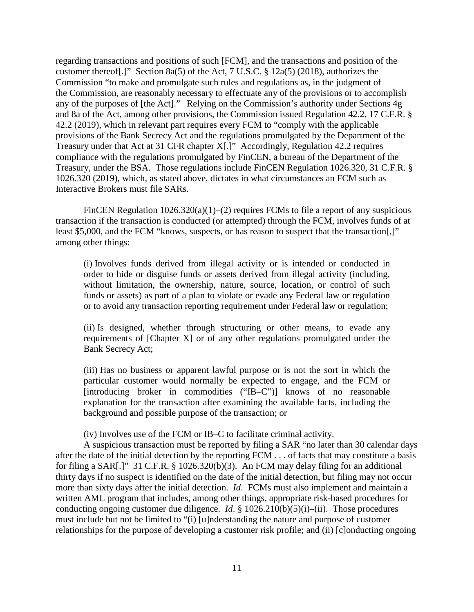Commission "to make and promulgate such rules and regulations as, in the judgment of any of the purposes of [the Act]." Relying on the Commission's authority under Sections 4g 42.2 (2019), which in relevant part requires every FCM to "comply with the applicable Treasury under that Act at 31 CFR chapter X[.]" Accordingly, Regulation 42.2 requires Interactive Brokers must file SARs. regarding transactions and positions of such [FCM], and the transactions and position of the customer thereof[.]" Section 8a(5) of the Act, 7 U.S.C. § 12a(5) (2018), authorizes the the Commission, are reasonably necessary to effectuate any of the provisions or to accomplish and 8a of the Act, among other provisions, the Commission issued Regulation 42.2, 17 C.F.R. § provisions of the Bank Secrecy Act and the regulations promulgated by the Department of the compliance with the regulations promulgated by FinCEN, a bureau of the Department of the Treasury, under the BSA. Those regulations include FinCEN Regulation 1026.320, 31 C.F.R. § 1026.320 (2019), which, as stated above, dictates in what circumstances an FCM such as

Interactive Brokers must file SARs.<br>FinCEN Regulation 1026.320(a)(1)–(2) requires FCMs to file a report of any suspicious among other things: transaction if the transaction is conducted (or attempted) through the FCM, involves funds of at least \$5,000, and the FCM "knows, suspects, or has reason to suspect that the transaction.]"

 order to hide or disguise funds or assets derived from illegal activity (including, or to avoid any transaction reporting requirement under Federal law or regulation; (i) Involves funds derived from illegal activity or is intended or conducted in without limitation, the ownership, nature, source, location, or control of such funds or assets) as part of a plan to violate or evade any Federal law or regulation

 requirements of [Chapter X] or of any other regulations promulgated under the (ii) Is designed, whether through structuring or other means, to evade any Bank Secrecy Act;

 particular customer would normally be expected to engage, and the FCM or (iii) Has no business or apparent lawful purpose or is not the sort in which the [introducing broker in commodities ("IB–C")] knows of no reasonable explanation for the transaction after examining the available facts, including the background and possible purpose of the transaction; or

(iv) Involves use of the FCM or IB–C to facilitate criminal activity.

 A suspicious transaction must be reported by filing a SAR "no later than 30 calendar days more than sixty days after the initial detection. *Id*. FCMs must also implement and maintain a relationships for the purpose of developing a customer risk profile; and (ii) [c]onducting ongoing after the date of the initial detection by the reporting FCM . . . of facts that may constitute a basis for filing a SAR[.]" 31 C.F.R. § 1026.320(b)(3). An FCM may delay filing for an additional thirty days if no suspect is identified on the date of the initial detection, but filing may not occur written AML program that includes, among other things, appropriate risk-based procedures for conducting ongoing customer due diligence. *Id*. § 1026.210(b)(5)(i)–(ii). Those procedures must include but not be limited to "(i) [u]nderstanding the nature and purpose of customer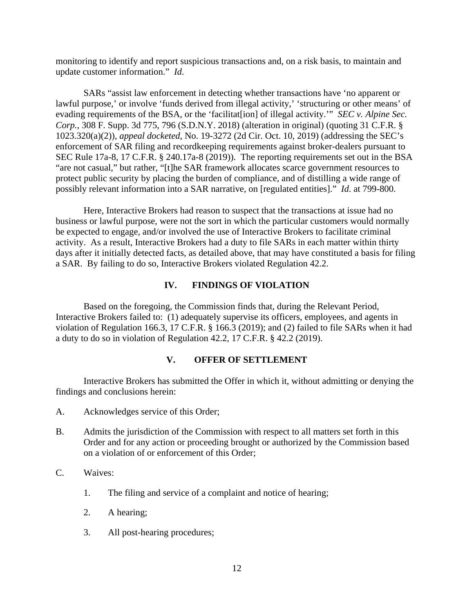monitoring to identify and report suspicious transactions and, on a risk basis, to maintain and update customer information." *Id*.

 evading requirements of the BSA, or the 'facilitat[ion] of illegal activity.'" *SEC v. Alpine Sec.*  SARs "assist law enforcement in detecting whether transactions have 'no apparent or lawful purpose,' or involve 'funds derived from illegal activity,' 'structuring or other means' of *Corp.*, 308 F. Supp. 3d 775, 796 (S.D.N.Y. 2018) (alteration in original) (quoting 31 C.F.R. § 1023.320(a)(2)), *appeal docketed*, No. 19-3272 (2d Cir. Oct. 10, 2019) (addressing the SEC's enforcement of SAR filing and recordkeeping requirements against broker-dealers pursuant to SEC Rule 17a-8, 17 C.F.R. § 240.17a-8 (2019)). The reporting requirements set out in the BSA "are not casual," but rather, "[t]he SAR framework allocates scarce government resources to protect public security by placing the burden of compliance, and of distilling a wide range of possibly relevant information into a SAR narrative, on [regulated entities]." *Id*. at 799-800.

Here, Interactive Brokers had reason to suspect that the transactions at issue had no business or lawful purpose, were not the sort in which the particular customers would normally be expected to engage, and/or involved the use of Interactive Brokers to facilitate criminal activity. As a result, Interactive Brokers had a duty to file SARs in each matter within thirty days after it initially detected facts, as detailed above, that may have constituted a basis for filing a SAR. By failing to do so, Interactive Brokers violated Regulation 42.2.

# **IV. FINDINGS OF VIOLATION**

Based on the foregoing, the Commission finds that, during the Relevant Period, Interactive Brokers failed to: (1) adequately supervise its officers, employees, and agents in violation of Regulation 166.3, 17 C.F.R. § 166.3 (2019); and (2) failed to file SARs when it had a duty to do so in violation of Regulation 42.2, 17 C.F.R. § 42.2 (2019).

# **V. OFFER OF SETTLEMENT**

Interactive Brokers has submitted the Offer in which it, without admitting or denying the findings and conclusions herein:

- A. Acknowledges service of this Order;
- B. Admits the jurisdiction of the Commission with respect to all matters set forth in this Order and for any action or proceeding brought or authorized by the Commission based on a violation of or enforcement of this Order;
- C. Waives:
	- 1. The filing and service of a complaint and notice of hearing;
	- 2. A hearing;
	- 3. All post-hearing procedures;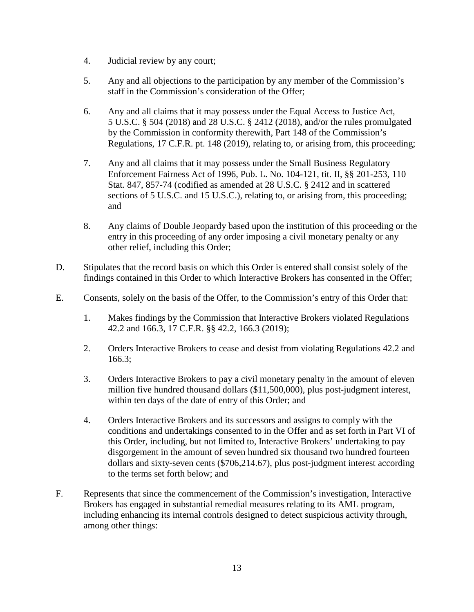- 4. Judicial review by any court;
- staff in the Commission's consideration of the Offer. 5. Any and all objections to the participation by any member of the Commission's
- staff in the Commission's consideration of the Offer; 6. Any and all claims that it may possess under the Equal Access to Justice Act, 5 U.S.C. § 504 (2018) and 28 U.S.C. § 2412 (2018), and/or the rules promulgated by the Commission in conformity therewith, Part 148 of the Commission's
- Regulations, 17 C.F.R. pt. 148 (2019), relating to, or arising from, this proceeding;<br>7. Any and all claims that it may possess under the Small Business Regulatory and Enforcement Fairness Act of 1996, Pub. L. No. 104-121, tit. II, §§ 201-253, 110 Stat. 847, 857-74 (codified as amended at 28 U.S.C. § 2412 and in scattered sections of 5 U.S.C. and 15 U.S.C.), relating to, or arising from, this proceeding;
- 8. Any claims of Double Jeopardy based upon the institution of this proceeding or the entry in this proceeding of any order imposing a civil monetary penalty or any other relief, including this Order;
- D. Stipulates that the record basis on which this Order is entered shall consist solely of the findings contained in this Order to which Interactive Brokers has consented in the Offer;
- Consents, solely on the basis of the Offer, to the Commission's entry of this Order that: E. Consents, solely on the basis of the Offer, to the Commission's entry of this Order that: 1. Makes findings by the Commission that Interactive Brokers violated Regulations
	- 42.2 and 166.3, 17 C.F.R. §§ 42.2, 166.3 (2019);
	- 2. Orders Interactive Brokers to cease and desist from violating Regulations 42.2 and 166.3;
	- 3. Orders Interactive Brokers to pay a civil monetary penalty in the amount of eleven million five hundred thousand dollars (\$11,500,000), plus post-judgment interest, within ten days of the date of entry of this Order; and
	- 4. Orders Interactive Brokers and its successors and assigns to comply with the conditions and undertakings consented to in the Offer and as set forth in Part VI of this Order, including, but not limited to, Interactive Brokers' undertaking to pay disgorgement in the amount of seven hundred six thousand two hundred fourteen dollars and sixty-seven cents (\$706,214.67), plus post-judgment interest according to the terms set forth below; and
- F. Represents that since the commencement of the Commission's investigation, Interactive Brokers has engaged in substantial remedial measures relating to its AML program, including enhancing its internal controls designed to detect suspicious activity through, among other things: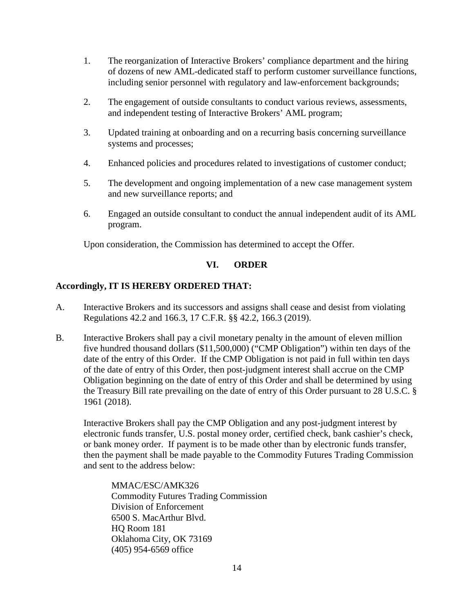- 1. The reorganization of Interactive Brokers' compliance department and the hiring of dozens of new AML-dedicated staff to perform customer surveillance functions, including senior personnel with regulatory and law-enforcement backgrounds;
- and independent testing of Interactive Brokers' AML program; 2. The engagement of outside consultants to conduct various reviews, assessments,
- 3. Updated training at onboarding and on a recurring basis concerning surveillance systems and processes;
- Enhanced policies and procedures related to investigations of customer conduct; 4. Enhanced policies and procedures related to investigations of customer conduct; 5. The development and ongoing implementation of a new case management system
- and new surveillance reports; and
- 6. Engaged an outside consultant to conduct the annual independent audit of its AML program.

Upon consideration, the Commission has determined to accept the Offer.

#### **VI. VI. ORDER**

# **Accordingly, IT IS HEREBY ORDERED THAT:**

- A. Interactive Brokers and its successors and assigns shall cease and desist from violating Regulations 42.2 and 166.3, 17 C.F.R. §§ 42.2, 166.3 (2019).
- B. Interactive Brokers shall pay a civil monetary penalty in the amount of eleven million five hundred thousand dollars (\$11,500,000) ("CMP Obligation") within ten days of the date of the entry of this Order. If the CMP Obligation is not paid in full within ten days of the date of entry of this Order, then post-judgment interest shall accrue on the CMP Obligation beginning on the date of entry of this Order and shall be determined by using the Treasury Bill rate prevailing on the date of entry of this Order pursuant to 28 U.S.C. § 1961 (2018).

 then the payment shall be made payable to the Commodity Futures Trading Commission Interactive Brokers shall pay the CMP Obligation and any post-judgment interest by electronic funds transfer, U.S. postal money order, certified check, bank cashier's check, or bank money order. If payment is to be made other than by electronic funds transfer, and sent to the address below:

MMAC/ESC/AMK326 Commodity Futures Trading Commission Division of Enforcement 6500 S. MacArthur Blvd. HQ Room 181 Oklahoma City, OK 73169 (405) 954-6569 office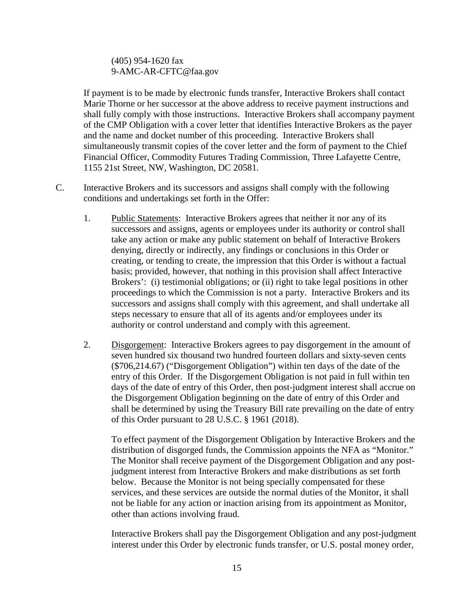# (405) 954-1620 fax 9-AMC-AR-CFTC@faa.gov

 and the name and docket number of this proceeding. Interactive Brokers shall If payment is to be made by electronic funds transfer, Interactive Brokers shall contact Marie Thorne or her successor at the above address to receive payment instructions and shall fully comply with those instructions. Interactive Brokers shall accompany payment of the CMP Obligation with a cover letter that identifies Interactive Brokers as the payer simultaneously transmit copies of the cover letter and the form of payment to the Chief Financial Officer, Commodity Futures Trading Commission, Three Lafayette Centre, 1155 21st Street, NW, Washington, DC 20581.

- C. Interactive Brokers and its successors and assigns shall comply with the following conditions and undertakings set forth in the Offer:
	- successors and assigns, agents or employees under its authority or control shall 1. Public Statements: Interactive Brokers agrees that neither it nor any of its take any action or make any public statement on behalf of Interactive Brokers denying, directly or indirectly, any findings or conclusions in this Order or creating, or tending to create, the impression that this Order is without a factual basis; provided, however, that nothing in this provision shall affect Interactive Brokers': (i) testimonial obligations; or (ii) right to take legal positions in other proceedings to which the Commission is not a party. Interactive Brokers and its successors and assigns shall comply with this agreement, and shall undertake all steps necessary to ensure that all of its agents and/or employees under its authority or control understand and comply with this agreement.
	- 2. Disgorgement: Interactive Brokers agrees to pay disgorgement in the amount of entry of this Order. If the Disgorgement Obligation is not paid in full within ten seven hundred six thousand two hundred fourteen dollars and sixty-seven cents (\$706,214.67) ("Disgorgement Obligation") within ten days of the date of the days of the date of entry of this Order, then post-judgment interest shall accrue on the Disgorgement Obligation beginning on the date of entry of this Order and shall be determined by using the Treasury Bill rate prevailing on the date of entry of this Order pursuant to 28 U.S.C. § 1961 (2018).

 To effect payment of the Disgorgement Obligation by Interactive Brokers and the distribution of disgorged funds, the Commission appoints the NFA as "Monitor." The Monitor shall receive payment of the Disgorgement Obligation and any postjudgment interest from Interactive Brokers and make distributions as set forth below. Because the Monitor is not being specially compensated for these services, and these services are outside the normal duties of the Monitor, it shall not be liable for any action or inaction arising from its appointment as Monitor, other than actions involving fraud.

Interactive Brokers shall pay the Disgorgement Obligation and any post-judgment interest under this Order by electronic funds transfer, or U.S. postal money order,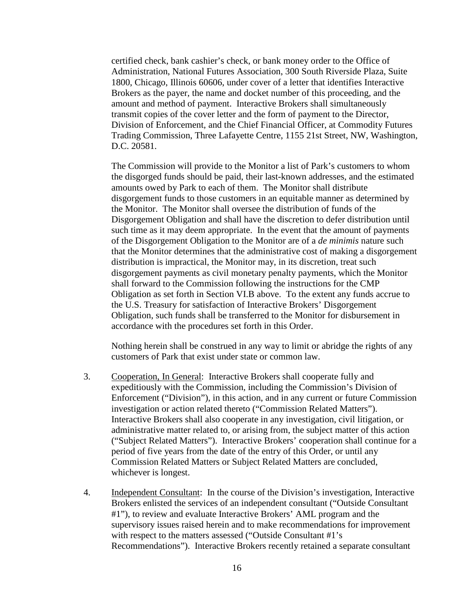certified check, bank cashier's check, or bank money order to the Office of 1800, Chicago, Illinois 60606, under cover of a letter that identifies Interactive Administration, National Futures Association, 300 South Riverside Plaza, Suite Brokers as the payer, the name and docket number of this proceeding, and the amount and method of payment. Interactive Brokers shall simultaneously transmit copies of the cover letter and the form of payment to the Director, Division of Enforcement, and the Chief Financial Officer, at Commodity Futures Trading Commission, Three Lafayette Centre, 1155 21st Street, NW, Washington, D.C. 20581.

 the U.S. Treasury for satisfaction of Interactive Brokers' Disgorgement The Commission will provide to the Monitor a list of Park's customers to whom the disgorged funds should be paid, their last-known addresses, and the estimated amounts owed by Park to each of them. The Monitor shall distribute disgorgement funds to those customers in an equitable manner as determined by the Monitor. The Monitor shall oversee the distribution of funds of the Disgorgement Obligation and shall have the discretion to defer distribution until such time as it may deem appropriate. In the event that the amount of payments of the Disgorgement Obligation to the Monitor are of a *de minimis* nature such that the Monitor determines that the administrative cost of making a disgorgement distribution is impractical, the Monitor may, in its discretion, treat such disgorgement payments as civil monetary penalty payments, which the Monitor shall forward to the Commission following the instructions for the CMP Obligation as set forth in Section VI.B above. To the extent any funds accrue to Obligation, such funds shall be transferred to the Monitor for disbursement in accordance with the procedures set forth in this Order.

 Nothing herein shall be construed in any way to limit or abridge the rights of any customers of Park that exist under state or common law.

- Enforcement ("Division"), in this action, and in any current or future Commission period of five years from the date of the entry of this Order, or until any whichever is longest. 3. Cooperation, In General: Interactive Brokers shall cooperate fully and expeditiously with the Commission, including the Commission's Division of investigation or action related thereto ("Commission Related Matters"). Interactive Brokers shall also cooperate in any investigation, civil litigation, or administrative matter related to, or arising from, the subject matter of this action ("Subject Related Matters"). Interactive Brokers' cooperation shall continue for a Commission Related Matters or Subject Related Matters are concluded,
- whichever is longest.<br>4. Independent Consultant: In the course of the Division's investigation, Interactive Brokers enlisted the services of an independent consultant ("Outside Consultant #1"), to review and evaluate Interactive Brokers' AML program and the supervisory issues raised herein and to make recommendations for improvement with respect to the matters assessed ("Outside Consultant #1's Recommendations"). Interactive Brokers recently retained a separate consultant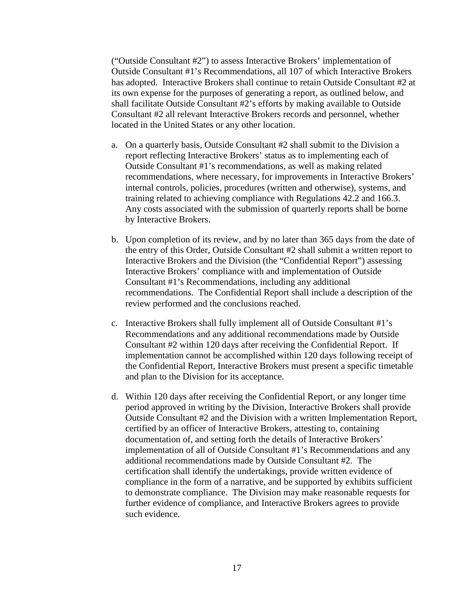its own expense for the purposes of generating a report, as outlined below, and ("Outside Consultant #2") to assess Interactive Brokers' implementation of Outside Consultant #1's Recommendations, all 107 of which Interactive Brokers has adopted. Interactive Brokers shall continue to retain Outside Consultant #2 at shall facilitate Outside Consultant #2's efforts by making available to Outside Consultant #2 all relevant Interactive Brokers records and personnel, whether located in the United States or any other location.

- recommendations, where necessary, for improvements in Interactive Brokers' a. On a quarterly basis, Outside Consultant #2 shall submit to the Division a report reflecting Interactive Brokers' status as to implementing each of Outside Consultant #1's recommendations, as well as making related internal controls, policies, procedures (written and otherwise), systems, and training related to achieving compliance with Regulations 42.2 and 166.3. Any costs associated with the submission of quarterly reports shall be borne by Interactive Brokers.
- Consultant #1's Recommendations, including any additional b. Upon completion of its review, and by no later than 365 days from the date of the entry of this Order, Outside Consultant #2 shall submit a written report to Interactive Brokers and the Division (the "Confidential Report") assessing Interactive Brokers' compliance with and implementation of Outside recommendations. The Confidential Report shall include a description of the review performed and the conclusions reached.
- Recommendations and any additional recommendations made by Outside Consultant #2 within 120 days after receiving the Confidential Report. If implementation cannot be accomplished within 120 days following receipt of c. Interactive Brokers shall fully implement all of Outside Consultant #1's the Confidential Report, Interactive Brokers must present a specific timetable and plan to the Division for its acceptance.
- to demonstrate compliance. The Division may make reasonable requests for d. Within 120 days after receiving the Confidential Report, or any longer time period approved in writing by the Division, Interactive Brokers shall provide Outside Consultant #2 and the Division with a written Implementation Report, certified by an officer of Interactive Brokers, attesting to, containing documentation of, and setting forth the details of Interactive Brokers' implementation of all of Outside Consultant #1's Recommendations and any additional recommendations made by Outside Consultant #2. The certification shall identify the undertakings, provide written evidence of compliance in the form of a narrative, and be supported by exhibits sufficient further evidence of compliance, and Interactive Brokers agrees to provide such evidence.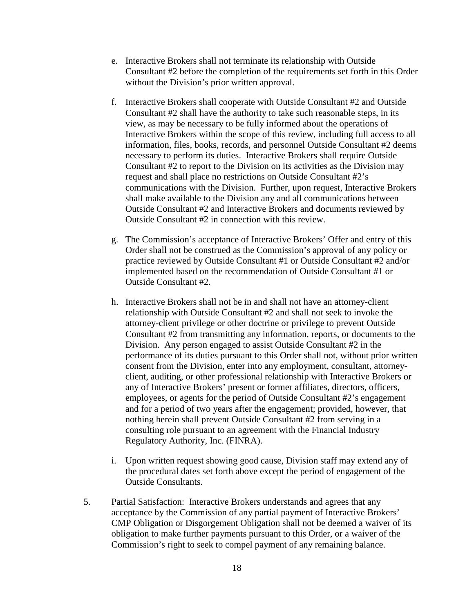- e. Interactive Brokers shall not terminate its relationship with Outside Consultant #2 before the completion of the requirements set forth in this Order without the Division's prior written approval.
- necessary to perform its duties. Interactive Brokers shall require Outside f. Interactive Brokers shall cooperate with Outside Consultant #2 and Outside Consultant #2 shall have the authority to take such reasonable steps, in its view, as may be necessary to be fully informed about the operations of Interactive Brokers within the scope of this review, including full access to all information, files, books, records, and personnel Outside Consultant #2 deems Consultant #2 to report to the Division on its activities as the Division may request and shall place no restrictions on Outside Consultant #2's communications with the Division. Further, upon request, Interactive Brokers shall make available to the Division any and all communications between Outside Consultant #2 and Interactive Brokers and documents reviewed by Outside Consultant #2 in connection with this review.
- g. The Commission's acceptance of Interactive Brokers' Offer and entry of this Order shall not be construed as the Commission's approval of any policy or practice reviewed by Outside Consultant #1 or Outside Consultant #2 and/or implemented based on the recommendation of Outside Consultant #1 or Outside Consultant #2.
- h. Interactive Brokers shall not be in and shall not have an attorney-client relationship with Outside Consultant #2 and shall not seek to invoke the attorney-client privilege or other doctrine or privilege to prevent Outside Consultant #2 from transmitting any information, reports, or documents to the Division. Any person engaged to assist Outside Consultant #2 in the performance of its duties pursuant to this Order shall not, without prior written consent from the Division, enter into any employment, consultant, attorneyclient, auditing, or other professional relationship with Interactive Brokers or any of Interactive Brokers' present or former affiliates, directors, officers, employees, or agents for the period of Outside Consultant #2's engagement and for a period of two years after the engagement; provided, however, that nothing herein shall prevent Outside Consultant #2 from serving in a consulting role pursuant to an agreement with the Financial Industry Regulatory Authority, Inc. (FINRA).
- i. Upon written request showing good cause, Division staff may extend any of the procedural dates set forth above except the period of engagement of the Outside Consultants.
- Commission's right to seek to compel payment of any remaining balance. 5. Partial Satisfaction: Interactive Brokers understands and agrees that any acceptance by the Commission of any partial payment of Interactive Brokers' CMP Obligation or Disgorgement Obligation shall not be deemed a waiver of its obligation to make further payments pursuant to this Order, or a waiver of the